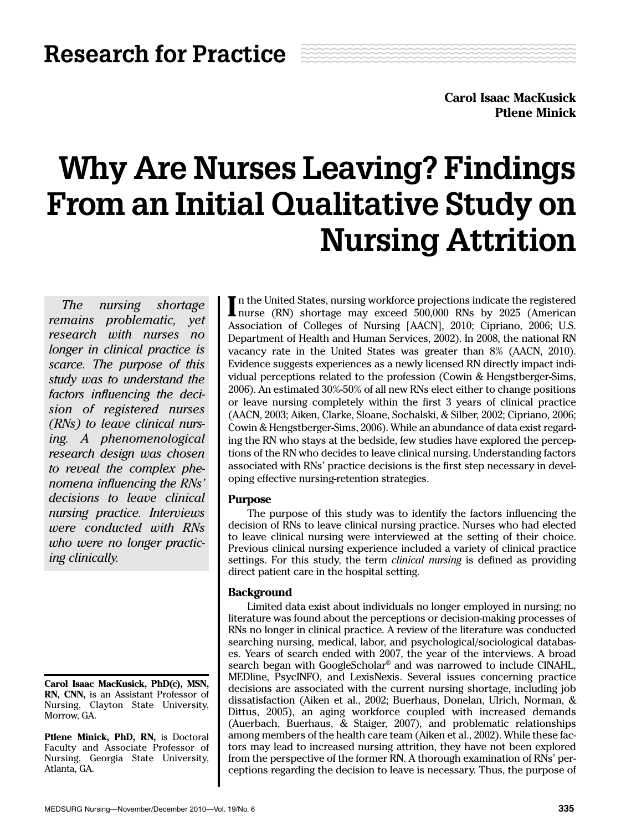**Carol Isaac MacKusick Ptlene Minick**

# Why Are Nurses Leaving? Findings From an Initial Qualitative Study on Nursing Attrition

*The nursing shortage remains problematic, yet research with nurses no longer in clinical practice is scarce. The purpose of this study was to understand the factors influencing the decision of registered nurses (RNs) to leave clinical nursing. A phenomenological research design was chosen to reveal the complex phenomena influencing the RNs' decisions to leave clinical nursing practice. Interviews were conducted with RNs who were no longer practicing clinically.*

**Carol Isaac MacKusick, PhD(c), MSN, RN, CNN,** is an Assistant Professor of Nursing, Clayton State University, Morrow, GA.

**Ptlene Minick, PhD, RN,** is Doctoral Faculty and Associate Professor of Nursing, Georgia State University, Atlanta, GA.

In the United States, nursing workforce projections indicate the registered nurse (RN) shortage may exceed 500,000 RNs by 2025 (American nurse (RN) shortage may exceed 500,000 RNs by 2025 (American Association of Colleges of Nursing [AACN], 2010; Cipriano, 2006; U.S. Department of Health and Human Services, 2002). In 2008, the national RN vacancy rate in the United States was greater than 8% (AACN, 2010). Evidence suggests experiences as a newly licensed RN directly impact individual perceptions related to the profession (Cowin & Hengstberger-Sims, 2006). An estimated 30%-50% of all new RNs elect either to change positions or leave nursing completely within the first 3 years of clinical practice (AACN, 2003; Aiken, Clarke, Sloane, Sochalski, & Silber, 2002; Cipriano, 2006; Cowin & Hengstberger-Sims, 2006). While an abundance of data exist regarding the RN who stays at the bedside, few studies have explored the perceptions of the RN who decides to leave clinical nursing. Understanding factors associated with RNs' practice decisions is the first step necessary in developing effective nursing-retention strategies.

# **Purpose**

The purpose of this study was to identify the factors influencing the decision of RNs to leave clinical nursing practice. Nurses who had elected to leave clinical nursing were interviewed at the setting of their choice. Previous clinical nursing experience included a variety of clinical practice settings. For this study, the term *clinical nursing* is defined as providing direct patient care in the hospital setting.

# **Background**

Limited data exist about individuals no longer employed in nursing; no literature was found about the perceptions or decision-making processes of RNs no longer in clinical practice. A review of the literature was conducted searching nursing, medical, labor, and psychological/sociological databases. Years of search ended with 2007, the year of the interviews. A broad search began with GoogleScholar® and was narrowed to include CINAHL, MEDline, PsycINFO, and LexisNexis. Several issues concerning practice decisions are associated with the current nursing shortage, including job dissatisfaction (Aiken et al., 2002; Buerhaus, Donelan, Ulrich, Norman, & Dittus, 2005), an aging workforce coupled with increased demands (Auerbach, Buerhaus, & Staiger, 2007), and problematic relationships among members of the health care team (Aiken et al., 2002). While these factors may lead to increased nursing attrition, they have not been explored from the perspective of the former RN. A thorough examination of RNs' perceptions regarding the decision to leave is necessary. Thus, the purpose of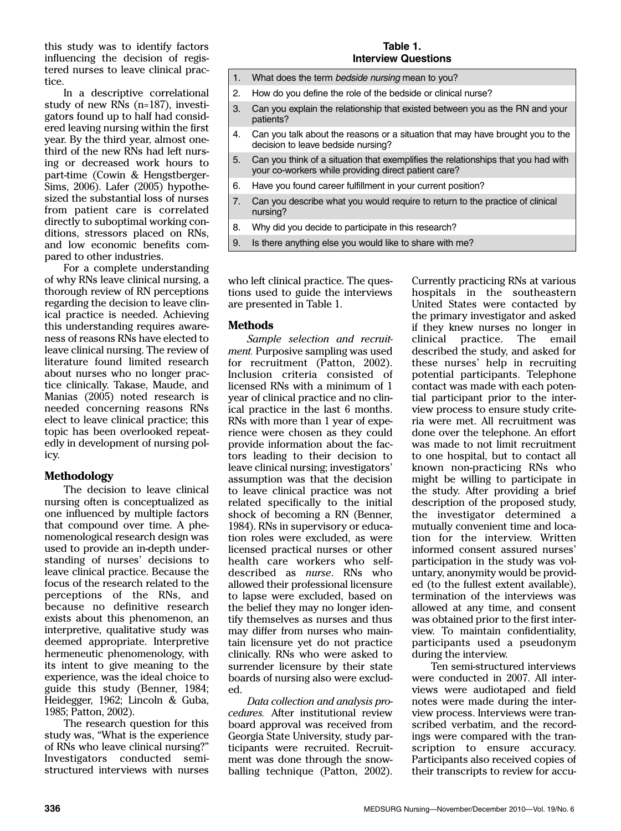this study was to identify factors influencing the decision of registered nurses to leave clinical practice.

In a descriptive correlational study of new RNs (n=187), investigators found up to half had considered leaving nursing within the first year. By the third year, almost onethird of the new RNs had left nursing or decreased work hours to part-time (Cowin & Hengstberger-Sims, 2006). Lafer (2005) hypothesized the substantial loss of nurses from patient care is correlated directly to suboptimal working conditions, stressors placed on RNs, and low economic benefits compared to other industries.

For a complete understanding of why RNs leave clinical nursing, a thorough review of RN perceptions regarding the decision to leave clinical practice is needed. Achieving this understanding requires awareness of reasons RNs have elected to leave clinical nursing. The review of literature found limited research about nurses who no longer practice clinically. Takase, Maude, and Manias (2005) noted research is needed concerning reasons RNs elect to leave clinical practice; this topic has been overlooked repeatedly in development of nursing policy.

# **Methodology**

The decision to leave clinical nursing often is conceptualized as one influenced by multiple factors that compound over time. A phenomenological research design was used to provide an in-depth understanding of nurses' decisions to leave clinical practice. Because the focus of the research related to the perceptions of the RNs, and because no definitive research exists about this phenomenon, an interpretive, qualitative study was deemed appropriate. Interpretive hermeneutic phenomenology, with its intent to give meaning to the experience, was the ideal choice to guide this study (Benner, 1984; Heidegger, 1962; Lincoln & Guba, 1985; Patton, 2002).

The research question for this study was, "What is the experience of RNs who leave clinical nursing?" Investigators conducted semistructured interviews with nurses

#### **Table 1. Interview Questions**

- 1. What does the term bedside nursing mean to you?
- 2. How do you define the role of the bedside or clinical nurse?
- 3. Can you explain the relationship that existed between you as the RN and your patients?
- 4. Can you talk about the reasons or a situation that may have brought you to the decision to leave bedside nursing?
- 5. Can you think of a situation that exemplifies the relationships that you had with your co-workers while providing direct patient care?
- 6. Have you found career fulfillment in your current position?
- 7. Can you describe what you would require to return to the practice of clinical nursing?
- 8. Why did you decide to participate in this research?
- 9. Is there anything else you would like to share with me?

who left clinical practice. The questions used to guide the interviews are presented in Table 1.

## **Methods**

*Sample selection and recruitment.* Purposive sampling was used for recruitment (Patton, 2002). Inclusion criteria consisted of licensed RNs with a minimum of 1 year of clinical practice and no clinical practice in the last 6 months. RNs with more than 1 year of experience were chosen as they could provide information about the factors leading to their decision to leave clinical nursing; investigators' assumption was that the decision to leave clinical practice was not related specifically to the initial shock of becoming a RN (Benner, 1984). RNs in supervisory or education roles were excluded, as were licensed practical nurses or other health care workers who selfdescribed as *nurse*. RNs who allowed their professional licensure to lapse were excluded, based on the belief they may no longer identify themselves as nurses and thus may differ from nurses who maintain licensure yet do not practice clinically. RNs who were asked to surrender licensure by their state boards of nursing also were excluded.

*Data collection and analysis procedures.* After institutional review board approval was received from Georgia State University, study participants were recruited. Recruitment was done through the snowballing technique (Patton, 2002).

Currently practicing RNs at various hospitals in the southeastern United States were contacted by the primary investigator and asked if they knew nurses no longer in clinical practice. The described the study, and asked for these nurses' help in recruiting potential participants. Telephone contact was made with each potential participant prior to the interview process to ensure study criteria were met. All recruitment was done over the telephone. An effort was made to not limit recruitment to one hospital, but to contact all known non-practicing RNs who might be willing to participate in the study. After providing a brief description of the proposed study, the investigator determined a mutually convenient time and location for the interview. Written informed consent assured nurses' participation in the study was voluntary, anonymity would be provided (to the fullest extent available), termination of the interviews was allowed at any time, and consent was obtained prior to the first interview. To maintain confidentiality, participants used a pseudonym during the interview.

Ten semi-structured interviews were conducted in 2007. All interviews were audiotaped and field notes were made during the interview process. Interviews were transcribed verbatim, and the recordings were compared with the transcription to ensure accuracy. Participants also received copies of their transcripts to review for accu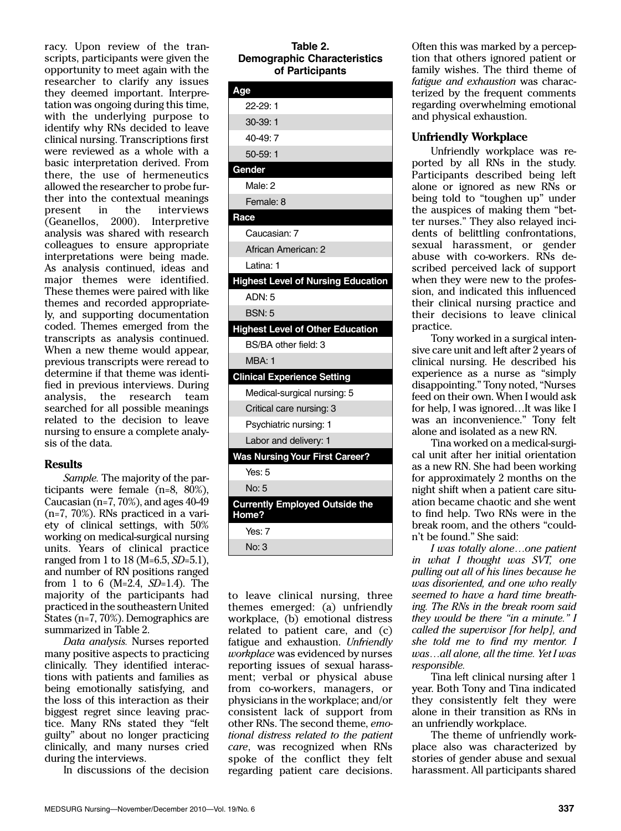racy. Upon review of the transcripts, participants were given the opportunity to meet again with the researcher to clarify any issues they deemed important. Interpretation was ongoing during this time, with the underlying purpose to identify why RNs decided to leave clinical nursing. Transcriptions first were reviewed as a whole with a basic interpretation derived. From there, the use of hermeneutics allowed the researcher to probe further into the contextual meanings present in the interviews (Geanellos, 2000). Interpretive analysis was shared with research colleagues to ensure appropriate interpretations were being made. As analysis continued, ideas and major themes were identified. These themes were paired with like themes and recorded appropriately, and supporting documentation coded. Themes emerged from the transcripts as analysis continued. When a new theme would appear, previous transcripts were reread to determine if that theme was identified in previous interviews. During analysis, the research team searched for all possible meanings related to the decision to leave nursing to ensure a complete analysis of the data.

#### **Results**

*Sample.* The majority of the participants were female (n=8, 80%), Caucasian (n=7, 70%), and ages 40-49 (n=7, 70%). RNs practiced in a variety of clinical settings, with 50% working on medical-surgical nursing units. Years of clinical practice ranged from 1 to 18 (M=6.5, *SD*=5.1), and number of RN positions ranged from 1 to 6 (M=2.4, *SD*=1.4). The majority of the participants had practiced in the southeastern United States (n=7, 70%). Demographics are summarized in Table 2.

*Data analysis.* Nurses reported many positive aspects to practicing clinically. They identified interactions with patients and families as being emotionally satisfying, and the loss of this interaction as their biggest regret since leaving practice. Many RNs stated they "felt guilty" about no longer practicing clinically, and many nurses cried during the interviews.

In discussions of the decision

#### **Table 2. Demographic Characteristics of Participants**

| Age                                            |
|------------------------------------------------|
| $22-29:1$                                      |
| 30-39:1                                        |
| $40-49:7$                                      |
| $50-59:1$                                      |
| Gender                                         |
| Male: 2                                        |
| Female: 8                                      |
| Race                                           |
| Caucasian: 7                                   |
| African American: 2                            |
| Latina: 1                                      |
| <b>Highest Level of Nursing Education</b>      |
| ADN: 5                                         |
| <b>BSN: 5</b>                                  |
| <b>Highest Level of Other Education</b>        |
| BS/BA other field: 3                           |
| MBA: 1                                         |
| <b>Clinical Experience Setting</b>             |
| Medical-surgical nursing: 5                    |
| Critical care nursing: 3                       |
| Psychiatric nursing: 1                         |
| Labor and delivery: 1                          |
| <b>Was Nursing Your First Career?</b>          |
| Yes: $5$                                       |
| No: 5                                          |
| <b>Currently Employed Outside the</b><br>Home? |
| Yes: $7$                                       |
| No: 3                                          |
|                                                |

to leave clinical nursing, three themes emerged: (a) unfriendly workplace, (b) emotional distress related to patient care, and (c) fatigue and exhaustion. *Unfriendly workplace* was evidenced by nurses reporting issues of sexual harassment; verbal or physical abuse from co-workers, managers, or physicians in the workplace; and/or consistent lack of support from other RNs. The second theme, *emotional distress related to the patient care*, was recognized when RNs spoke of the conflict they felt regarding patient care decisions.

Often this was marked by a perception that others ignored patient or family wishes. The third theme of *fatigue and exhaustion* was characterized by the frequent comments regarding overwhelming emotional and physical exhaustion.

### **Unfriendly Workplace**

Unfriendly workplace was reported by all RNs in the study. Participants described being left alone or ignored as new RNs or being told to "toughen up" under the auspices of making them "better nurses." They also relayed incidents of belittling confrontations, sexual harassment, or gender abuse with co-workers. RNs described perceived lack of support when they were new to the profession, and indicated this influenced their clinical nursing practice and their decisions to leave clinical practice.

Tony worked in a surgical intensive care unit and left after 2 years of clinical nursing. He described his experience as a nurse as "simply disappointing." Tony noted, "Nurses feed on their own. When I would ask for help, I was ignored…It was like I was an inconvenience." Tony felt alone and isolated as a new RN.

Tina worked on a medical-surgical unit after her initial orientation as a new RN. She had been working for approximately 2 months on the night shift when a patient care situation became chaotic and she went to find help. Two RNs were in the break room, and the others "couldn't be found." She said:

*I was totally alone…one patient in what I thought was SVT, one pulling out all of his lines because he was disoriented, and one who really seemed to have a hard time breathing. The RNs in the break room said they would be there "in a minute." I called the supervisor [for help], and she told me to find my mentor. I was…all alone, all the time. Yet I was responsible.*

Tina left clinical nursing after 1 year. Both Tony and Tina indicated they consistently felt they were alone in their transition as RNs in an unfriendly workplace.

The theme of unfriendly workplace also was characterized by stories of gender abuse and sexual harassment. All participants shared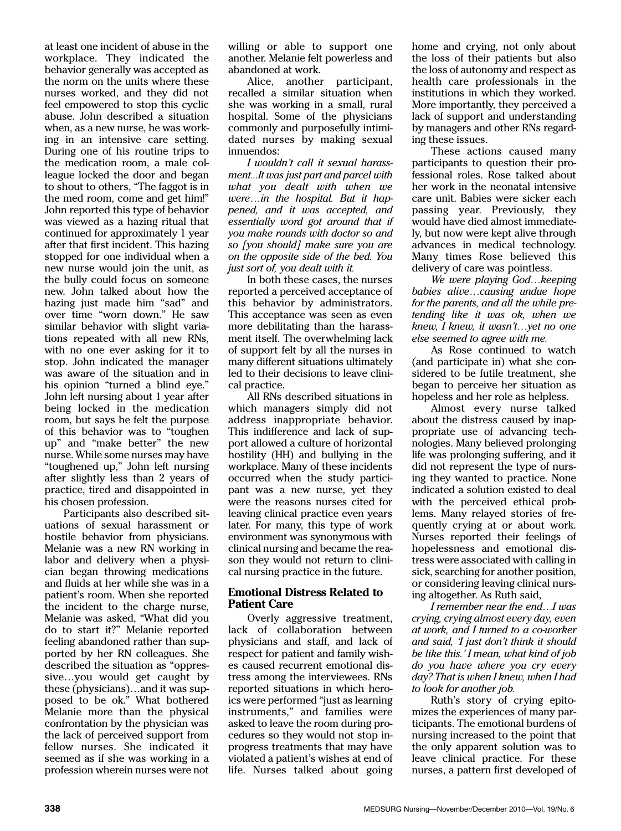at least one incident of abuse in the workplace. They indicated the behavior generally was accepted as the norm on the units where these nurses worked, and they did not feel empowered to stop this cyclic abuse. John described a situation when, as a new nurse, he was working in an intensive care setting. During one of his routine trips to the medication room, a male colleague locked the door and began to shout to others, "The faggot is in the med room, come and get him!" John reported this type of behavior was viewed as a hazing ritual that continued for approximately 1 year after that first incident. This hazing stopped for one individual when a new nurse would join the unit, as the bully could focus on someone new. John talked about how the hazing just made him "sad" and over time "worn down." He saw similar behavior with slight variations repeated with all new RNs, with no one ever asking for it to stop. John indicated the manager was aware of the situation and in his opinion "turned a blind eye." John left nursing about 1 year after being locked in the medication room, but says he felt the purpose of this behavior was to "toughen up" and "make better" the new nurse. While some nurses may have "toughened up," John left nursing after slightly less than 2 years of practice, tired and disappointed in his chosen profession.

Participants also described situations of sexual harassment or hostile behavior from physicians. Melanie was a new RN working in labor and delivery when a physician began throwing medications and fluids at her while she was in a patient's room. When she reported the incident to the charge nurse, Melanie was asked, "What did you do to start it?" Melanie reported feeling abandoned rather than supported by her RN colleagues. She described the situation as "oppressive…you would get caught by these (physicians)…and it was supposed to be ok." What bothered Melanie more than the physical confrontation by the physician was the lack of perceived support from fellow nurses. She indicated it seemed as if she was working in a profession wherein nurses were not

willing or able to support one another. Melanie felt powerless and abandoned at work.

Alice, another participant, recalled a similar situation when she was working in a small, rural hospital. Some of the physicians commonly and purposefully intimidated nurses by making sexual innuendos:

*I wouldn't call it sexual harassment...It was just part and parcel with what you dealt with when we were…in the hospital. But it happened, and it was accepted, and essentially word got around that if you make rounds with doctor so and so [you should] make sure you are on the opposite side of the bed. You just sort of, you dealt with it.*

In both these cases, the nurses reported a perceived acceptance of this behavior by administrators. This acceptance was seen as even more debilitating than the harassment itself. The overwhelming lack of support felt by all the nurses in many different situations ultimately led to their decisions to leave clinical practice.

All RNs described situations in which managers simply did not address inappropriate behavior. This indifference and lack of support allowed a culture of horizontal hostility (HH) and bullying in the workplace. Many of these incidents occurred when the study participant was a new nurse, yet they were the reasons nurses cited for leaving clinical practice even years later. For many, this type of work environment was synonymous with clinical nursing and became the reason they would not return to clinical nursing practice in the future.

## **Emotional Distress Related to Patient Care**

Overly aggressive treatment, lack of collaboration between physicians and staff, and lack of respect for patient and family wishes caused recurrent emotional distress among the interviewees. RNs reported situations in which heroics were performed "just as learning instruments," and families were asked to leave the room during procedures so they would not stop inprogress treatments that may have violated a patient's wishes at end of life. Nurses talked about going

home and crying, not only about the loss of their patients but also the loss of autonomy and respect as health care professionals in the institutions in which they worked. More importantly, they perceived a lack of support and understanding by managers and other RNs regarding these issues.

These actions caused many participants to question their professional roles. Rose talked about her work in the neonatal intensive care unit. Babies were sicker each passing year. Previously, they would have died almost immediately, but now were kept alive through advances in medical technology. Many times Rose believed this delivery of care was pointless.

*We were playing God…keeping babies alive…causing undue hope for the parents, and all the while pretending like it was ok, when we knew, I knew, it wasn't…yet no one else seemed to agree with me.*

As Rose continued to watch (and participate in) what she considered to be futile treatment, she began to perceive her situation as hopeless and her role as helpless.

Almost every nurse talked about the distress caused by inappropriate use of advancing technologies. Many believed prolonging life was prolonging suffering, and it did not represent the type of nursing they wanted to practice. None indicated a solution existed to deal with the perceived ethical problems. Many relayed stories of frequently crying at or about work. Nurses reported their feelings of hopelessness and emotional distress were associated with calling in sick, searching for another position, or considering leaving clinical nursing altogether. As Ruth said,

*I remember near the end…I was crying, crying almost every day, even at work, and I turned to a co-worker and said, 'I just don't think it should be like this.' I mean, what kind of job do you have where you cry every day? That is when I knew, when I had to look for another job.* 

Ruth's story of crying epitomizes the experiences of many participants. The emotional burdens of nursing increased to the point that the only apparent solution was to leave clinical practice. For these nurses, a pattern first developed of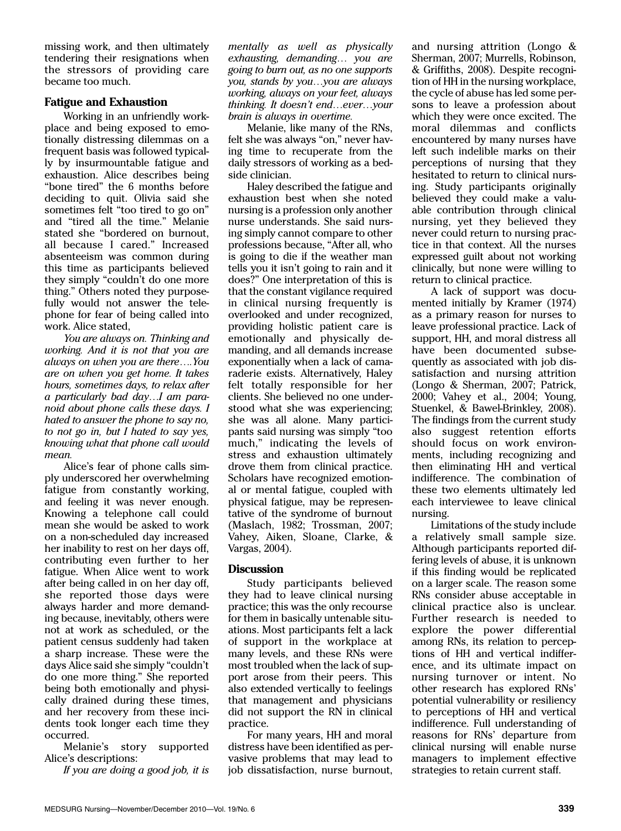missing work, and then ultimately tendering their resignations when the stressors of providing care became too much.

### **Fatigue and Exhaustion**

Working in an unfriendly workplace and being exposed to emotionally distressing dilemmas on a frequent basis was followed typically by insurmountable fatigue and exhaustion. Alice describes being "bone tired" the 6 months before deciding to quit. Olivia said she sometimes felt "too tired to go on" and "tired all the time." Melanie stated she "bordered on burnout, all because I cared." Increased absenteeism was common during this time as participants believed they simply "couldn't do one more thing." Others noted they purposefully would not answer the telephone for fear of being called into work. Alice stated,

*You are always on. Thinking and working. And it is not that you are always on when you are there….You are on when you get home. It takes hours, sometimes days, to relax after a particularly bad day…I am paranoid about phone calls these days. I hated to answer the phone to say no, to not go in, but I hated to say yes, knowing what that phone call would mean.*

Alice's fear of phone calls simply underscored her overwhelming fatigue from constantly working, and feeling it was never enough. Knowing a telephone call could mean she would be asked to work on a non-scheduled day increased her inability to rest on her days off, contributing even further to her fatigue. When Alice went to work after being called in on her day off, she reported those days were always harder and more demanding because, inevitably, others were not at work as scheduled, or the patient census suddenly had taken a sharp increase. These were the days Alice said she simply "couldn't do one more thing." She reported being both emotionally and physically drained during these times, and her recovery from these incidents took longer each time they occurred.

Melanie's story supported Alice's descriptions:

*If you are doing a good job, it is*

*mentally as well as physically exhausting, demanding… you are going to burn out, as no one supports you, stands by you…you are always working, always on your feet, always thinking. It doesn't end…ever…your brain is always in overtime.*

Melanie, like many of the RNs, felt she was always "on," never having time to recuperate from the daily stressors of working as a bedside clinician.

Haley described the fatigue and exhaustion best when she noted nursing is a profession only another nurse understands. She said nursing simply cannot compare to other professions because, "After all, who is going to die if the weather man tells you it isn't going to rain and it does?" One interpretation of this is that the constant vigilance required in clinical nursing frequently is overlooked and under recognized, providing holistic patient care is emotionally and physically demanding, and all demands increase exponentially when a lack of camaraderie exists. Alternatively, Haley felt totally responsible for her clients. She believed no one understood what she was experiencing; she was all alone. Many participants said nursing was simply "too much," indicating the levels of stress and exhaustion ultimately drove them from clinical practice. Scholars have recognized emotional or mental fatigue, coupled with physical fatigue, may be representative of the syndrome of burnout (Maslach, 1982; Trossman, 2007; Vahey, Aiken, Sloane, Clarke, & Vargas, 2004).

# **Discussion**

Study participants believed they had to leave clinical nursing practice; this was the only recourse for them in basically untenable situations. Most participants felt a lack of support in the workplace at many levels, and these RNs were most troubled when the lack of support arose from their peers. This also extended vertically to feelings that management and physicians did not support the RN in clinical practice.

For many years, HH and moral distress have been identified as pervasive problems that may lead to job dissatisfaction, nurse burnout,

and nursing attrition (Longo & Sherman, 2007; Murrells, Robinson, & Griffiths, 2008). Despite recognition of HH in the nursing workplace, the cycle of abuse has led some persons to leave a profession about which they were once excited. The moral dilemmas and conflicts encountered by many nurses have left such indelible marks on their perceptions of nursing that they hesitated to return to clinical nursing. Study participants originally believed they could make a valuable contribution through clinical nursing, yet they believed they never could return to nursing practice in that context. All the nurses expressed guilt about not working clinically, but none were willing to return to clinical practice.

A lack of support was documented initially by Kramer (1974) as a primary reason for nurses to leave professional practice. Lack of support, HH, and moral distress all have been documented subsequently as associated with job dissatisfaction and nursing attrition (Longo & Sherman, 2007; Patrick, 2000; Vahey et al., 2004; Young, Stuenkel, & Bawel-Brinkley, 2008). The findings from the current study also suggest retention efforts should focus on work environments, including recognizing and then eliminating HH and vertical indifference. The combination of these two elements ultimately led each interviewee to leave clinical nursing.

Limitations of the study include a relatively small sample size. Although participants reported differing levels of abuse, it is unknown if this finding would be replicated on a larger scale. The reason some RNs consider abuse acceptable in clinical practice also is unclear. Further research is needed to explore the power differential among RNs, its relation to perceptions of HH and vertical indifference, and its ultimate impact on nursing turnover or intent. No other research has explored RNs' potential vulnerability or resiliency to perceptions of HH and vertical indifference. Full understanding of reasons for RNs' departure from clinical nursing will enable nurse managers to implement effective strategies to retain current staff.